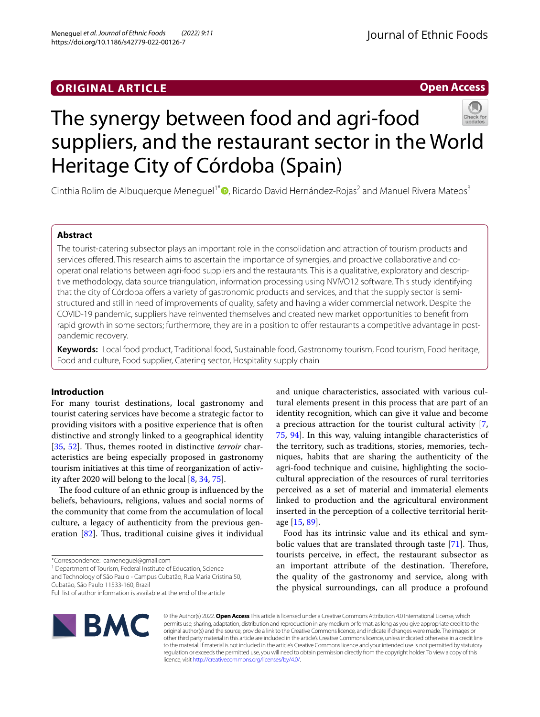# **ORIGINAL ARTICLE**

# **Open Access**



# The synergy between food and agri-food suppliers, and the restaurant sector in the World Heritage City of Córdoba (Spain)

Cinthia Rolim de Albuquerque Meneguel<sup>1\*</sup> [,](http://orcid.org/0000-0002-9457-6654) Ricardo David Hernández-Rojas<sup>2</sup> and Manuel Rivera Mateos<sup>3</sup>

# **Abstract**

The tourist-catering subsector plays an important role in the consolidation and attraction of tourism products and services offered. This research aims to ascertain the importance of synergies, and proactive collaborative and cooperational relations between agri-food suppliers and the restaurants. This is a qualitative, exploratory and descriptive methodology, data source triangulation, information processing using NVIVO12 software. This study identifying that the city of Córdoba ofers a variety of gastronomic products and services, and that the supply sector is semistructured and still in need of improvements of quality, safety and having a wider commercial network. Despite the COVID-19 pandemic, suppliers have reinvented themselves and created new market opportunities to beneft from rapid growth in some sectors; furthermore, they are in a position to offer restaurants a competitive advantage in postpandemic recovery.

**Keywords:** Local food product, Traditional food, Sustainable food, Gastronomy tourism, Food tourism, Food heritage, Food and culture, Food supplier, Catering sector, Hospitality supply chain

# **Introduction**

For many tourist destinations, local gastronomy and tourist catering services have become a strategic factor to providing visitors with a positive experience that is often distinctive and strongly linked to a geographical identity [[35,](#page-11-0) [52\]](#page-11-1). Thus, themes rooted in distinctive *terroir* characteristics are being especially proposed in gastronomy tourism initiatives at this time of reorganization of activity after 2020 will belong to the local [\[8](#page-10-0), [34,](#page-11-2) [75\]](#page-11-3).

The food culture of an ethnic group is influenced by the beliefs, behaviours, religions, values and social norms of the community that come from the accumulation of local culture, a legacy of authenticity from the previous gen-eration [\[82](#page-12-0)]. Thus, traditional cuisine gives it individual

\*Correspondence: cameneguel@gmail.com

<sup>1</sup> Department of Tourism, Federal Institute of Education, Science

and Technology of São Paulo - Campus Cubatão, Rua Maria Cristina 50, Cubatão, São Paulo 11533‑160, Brazil

and unique characteristics, associated with various cultural elements present in this process that are part of an identity recognition, which can give it value and become a precious attraction for the tourist cultural activity [\[7](#page-10-1), [75,](#page-11-3) [94](#page-12-1)]. In this way, valuing intangible characteristics of the territory, such as traditions, stories, memories, techniques, habits that are sharing the authenticity of the agri-food technique and cuisine, highlighting the sociocultural appreciation of the resources of rural territories perceived as a set of material and immaterial elements linked to production and the agricultural environment inserted in the perception of a collective territorial heritage [[15,](#page-10-2) [89](#page-12-2)].

Food has its intrinsic value and its ethical and symbolic values that are translated through taste  $[71]$  $[71]$  $[71]$ . Thus, tourists perceive, in efect, the restaurant subsector as an important attribute of the destination. Therefore, the quality of the gastronomy and service, along with the physical surroundings, can all produce a profound



© The Author(s) 2022. **Open Access** This article is licensed under a Creative Commons Attribution 4.0 International License, which permits use, sharing, adaptation, distribution and reproduction in any medium or format, as long as you give appropriate credit to the original author(s) and the source, provide a link to the Creative Commons licence, and indicate if changes were made. The images or other third party material in this article are included in the article's Creative Commons licence, unless indicated otherwise in a credit line to the material. If material is not included in the article's Creative Commons licence and your intended use is not permitted by statutory regulation or exceeds the permitted use, you will need to obtain permission directly from the copyright holder. To view a copy of this licence, visit [http://creativecommons.org/licenses/by/4.0/.](http://creativecommons.org/licenses/by/4.0/)

Full list of author information is available at the end of the article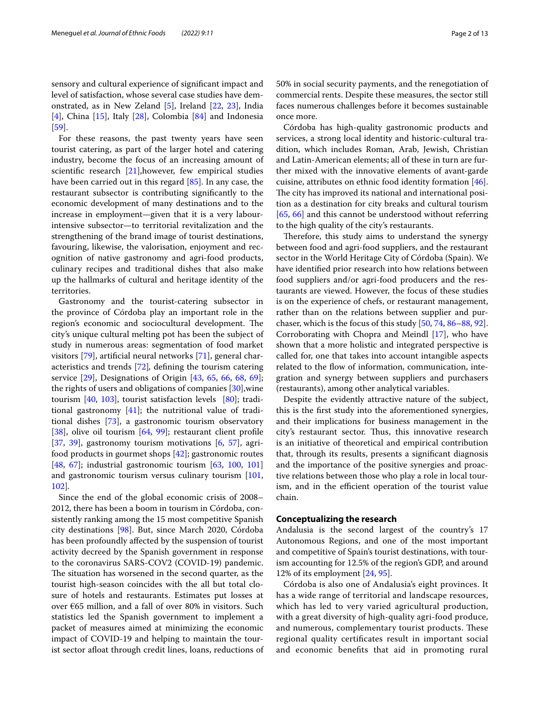sensory and cultural experience of signifcant impact and level of satisfaction, whose several case studies have demonstrated, as in New Zeland [\[5](#page-10-3)], Ireland [\[22](#page-10-4), [23](#page-10-5)], India [[4\]](#page-10-6), China [\[15](#page-10-2)], Italy [\[28\]](#page-10-7), Colombia  $[84]$  $[84]$  and Indonesia [[59\]](#page-11-5).

For these reasons, the past twenty years have seen tourist catering, as part of the larger hotel and catering industry, become the focus of an increasing amount of scientifc research [[21](#page-10-8)],however, few empirical studies have been carried out in this regard [\[85\]](#page-12-4). In any case, the restaurant subsector is contributing signifcantly to the economic development of many destinations and to the increase in employment—given that it is a very labourintensive subsector—to territorial revitalization and the strengthening of the brand image of tourist destinations, favouring, likewise, the valorisation, enjoyment and recognition of native gastronomy and agri-food products, culinary recipes and traditional dishes that also make up the hallmarks of cultural and heritage identity of the territories.

Gastronomy and the tourist-catering subsector in the province of Córdoba play an important role in the region's economic and sociocultural development. The city's unique cultural melting pot has been the subject of study in numerous areas: segmentation of food market visitors [\[79](#page-12-5)], artifcial neural networks [[71\]](#page-11-4), general characteristics and trends [\[72](#page-11-6)]*,* defning the tourism catering service [[29\]](#page-10-9), Designations of Origin [[43,](#page-11-7) [65](#page-11-8), [66,](#page-11-9) [68,](#page-11-10) [69](#page-11-11)]; the rights of users and obligations of companies [[30\]](#page-11-12),wine tourism [[40,](#page-11-13) [103](#page-12-6)], tourist satisfaction levels [[80\]](#page-12-7); traditional gastronomy  $[41]$  $[41]$  $[41]$ ; the nutritional value of traditional dishes [[73\]](#page-11-15), a gastronomic tourism observatory [[38\]](#page-11-16), olive oil tourism [\[64](#page-11-17), [99](#page-12-8)]; restaurant client profile [[37,](#page-11-18) [39\]](#page-11-19), gastronomy tourism motivations [\[6](#page-10-10), [57\]](#page-11-20), agrifood products in gourmet shops [[42\]](#page-11-21); gastronomic routes [[48,](#page-11-22) [67](#page-11-23)]; industrial gastronomic tourism [[63,](#page-11-24) [100](#page-12-9), [101](#page-12-10)] and gastronomic tourism versus culinary tourism [[101](#page-12-10), [102](#page-12-11)]*.*

Since the end of the global economic crisis of 2008– 2012, there has been a boom in tourism in Córdoba, consistently ranking among the 15 most competitive Spanish city destinations [[98](#page-12-12)]. But, since March 2020, Córdoba has been profoundly afected by the suspension of tourist activity decreed by the Spanish government in response to the coronavirus SARS-COV2 (COVID-19) pandemic. The situation has worsened in the second quarter, as the tourist high-season coincides with the all but total closure of hotels and restaurants. Estimates put losses at over €65 million, and a fall of over 80% in visitors. Such statistics led the Spanish government to implement a packet of measures aimed at minimizing the economic impact of COVID-19 and helping to maintain the tourist sector afloat through credit lines, loans, reductions of 50% in social security payments, and the renegotiation of commercial rents. Despite these measures, the sector still faces numerous challenges before it becomes sustainable once more.

Córdoba has high-quality gastronomic products and services, a strong local identity and historic-cultural tradition, which includes Roman, Arab, Jewish, Christian and Latin-American elements; all of these in turn are further mixed with the innovative elements of avant-garde cuisine, attributes on ethnic food identity formation [\[46](#page-11-25)]. The city has improved its national and international position as a destination for city breaks and cultural tourism [[65,](#page-11-8) [66\]](#page-11-9) and this cannot be understood without referring to the high quality of the city's restaurants.

Therefore, this study aims to understand the synergy between food and agri-food suppliers, and the restaurant sector in the World Heritage City of Córdoba (Spain). We have identifed prior research into how relations between food suppliers and/or agri-food producers and the restaurants are viewed. However, the focus of these studies is on the experience of chefs, or restaurant management, rather than on the relations between supplier and purchaser, which is the focus of this study [[50,](#page-11-26) [74,](#page-11-27) [86](#page-12-13)[–88,](#page-12-14) [92](#page-12-15)]. Corroborating with Chopra and Meindl [[17](#page-10-11)], who have shown that a more holistic and integrated perspective is called for, one that takes into account intangible aspects related to the flow of information, communication, integration and synergy between suppliers and purchasers (restaurants), among other analytical variables.

Despite the evidently attractive nature of the subject, this is the frst study into the aforementioned synergies, and their implications for business management in the city's restaurant sector. Thus, this innovative research is an initiative of theoretical and empirical contribution that, through its results, presents a signifcant diagnosis and the importance of the positive synergies and proactive relations between those who play a role in local tourism, and in the efficient operation of the tourist value chain.

# **Conceptualizing the research**

Andalusia is the second largest of the country's 17 Autonomous Regions, and one of the most important and competitive of Spain's tourist destinations, with tourism accounting for 12.5% of the region's GDP, and around 12% of its employment [\[24,](#page-10-12) [95](#page-12-16)].

Córdoba is also one of Andalusia's eight provinces. It has a wide range of territorial and landscape resources, which has led to very varied agricultural production, with a great diversity of high-quality agri-food produce, and numerous, complementary tourist products. These regional quality certifcates result in important social and economic benefts that aid in promoting rural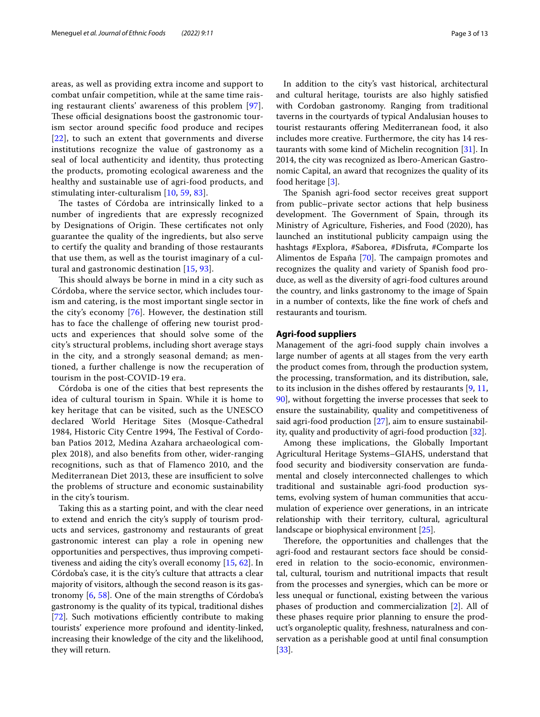areas, as well as providing extra income and support to combat unfair competition, while at the same time raising restaurant clients' awareness of this problem [[97\]](#page-12-17). These official designations boost the gastronomic tourism sector around specifc food produce and recipes [[22](#page-10-4)], to such an extent that governments and diverse institutions recognize the value of gastronomy as a seal of local authenticity and identity, thus protecting the products, promoting ecological awareness and the healthy and sustainable use of agri-food products, and stimulating inter-culturalism [[10](#page-10-13), [59](#page-11-5), [83\]](#page-12-18).

The tastes of Córdoba are intrinsically linked to a number of ingredients that are expressly recognized by Designations of Origin. These certificates not only guarantee the quality of the ingredients, but also serve to certify the quality and branding of those restaurants that use them, as well as the tourist imaginary of a cultural and gastronomic destination [\[15](#page-10-2), [93](#page-12-19)].

This should always be borne in mind in a city such as Córdoba, where the service sector, which includes tourism and catering, is the most important single sector in the city's economy [[76](#page-11-28)]. However, the destination still has to face the challenge of offering new tourist products and experiences that should solve some of the city's structural problems, including short average stays in the city, and a strongly seasonal demand; as mentioned, a further challenge is now the recuperation of tourism in the post-COVID-19 era.

Córdoba is one of the cities that best represents the idea of cultural tourism in Spain. While it is home to key heritage that can be visited, such as the UNESCO declared World Heritage Sites (Mosque-Cathedral 1984, Historic City Centre 1994, The Festival of Cordoban Patios 2012, Medina Azahara archaeological complex 2018), and also benefts from other, wider-ranging recognitions, such as that of Flamenco 2010, and the Mediterranean Diet 2013, these are insufficient to solve the problems of structure and economic sustainability in the city's tourism.

Taking this as a starting point, and with the clear need to extend and enrich the city's supply of tourism products and services, gastronomy and restaurants of great gastronomic interest can play a role in opening new opportunities and perspectives, thus improving competitiveness and aiding the city's overall economy [\[15](#page-10-2), [62\]](#page-11-29). In Córdoba's case, it is the city's culture that attracts a clear majority of visitors, although the second reason is its gastronomy [\[6](#page-10-10), [58](#page-11-30)]. One of the main strengths of Córdoba's gastronomy is the quality of its typical, traditional dishes [[72\]](#page-11-6). Such motivations efficiently contribute to making tourists' experience more profound and identity-linked, increasing their knowledge of the city and the likelihood, they will return.

In addition to the city's vast historical, architectural and cultural heritage, tourists are also highly satisfed with Cordoban gastronomy. Ranging from traditional taverns in the courtyards of typical Andalusian houses to tourist restaurants ofering Mediterranean food, it also includes more creative. Furthermore, the city has 14 restaurants with some kind of Michelin recognition [[31\]](#page-11-31). In 2014, the city was recognized as Ibero-American Gastronomic Capital, an award that recognizes the quality of its food heritage [\[3](#page-10-14)].

The Spanish agri-food sector receives great support from public–private sector actions that help business development. The Government of Spain, through its Ministry of Agriculture, Fisheries, and Food (2020), has launched an institutional publicity campaign using the hashtags #Explora, #Saborea, #Disfruta, #Comparte los Alimentos de España [[70\]](#page-11-32). The campaign promotes and recognizes the quality and variety of Spanish food produce, as well as the diversity of agri-food cultures around the country, and links gastronomy to the image of Spain in a number of contexts, like the fne work of chefs and restaurants and tourism.

## **Agri‑food suppliers**

Management of the agri-food supply chain involves a large number of agents at all stages from the very earth the product comes from, through the production system, the processing, transformation, and its distribution, sale, to its inclusion in the dishes offered by restaurants [[9,](#page-10-15) [11](#page-10-16), [90\]](#page-12-20), without forgetting the inverse processes that seek to ensure the sustainability, quality and competitiveness of said agri-food production [\[27](#page-10-17)], aim to ensure sustainability, quality and productivity of agri-food production [\[32](#page-11-33)].

Among these implications, the Globally Important Agricultural Heritage Systems–GIAHS, understand that food security and biodiversity conservation are fundamental and closely interconnected challenges to which traditional and sustainable agri-food production systems, evolving system of human communities that accumulation of experience over generations, in an intricate relationship with their territory, cultural, agricultural landscape or biophysical environment [\[25\]](#page-10-18).

Therefore, the opportunities and challenges that the agri-food and restaurant sectors face should be considered in relation to the socio-economic, environmental, cultural, tourism and nutritional impacts that result from the processes and synergies, which can be more or less unequal or functional, existing between the various phases of production and commercialization [\[2](#page-10-19)]. All of these phases require prior planning to ensure the product's organoleptic quality, freshness, naturalness and conservation as a perishable good at until fnal consumption [[33\]](#page-11-34).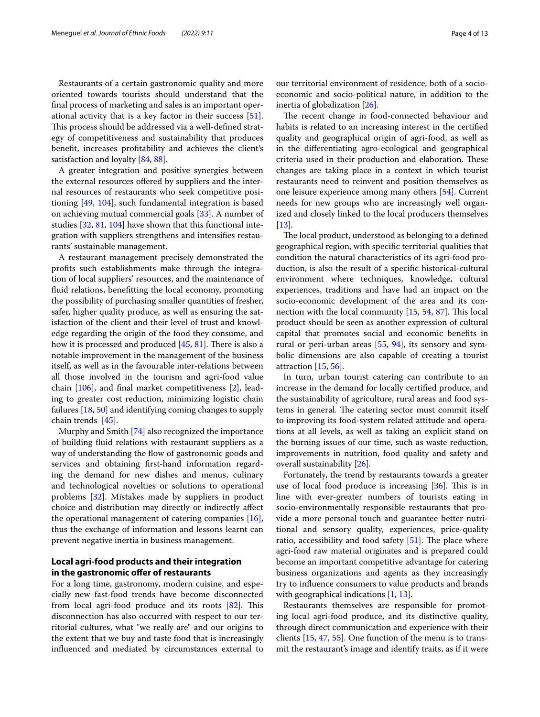Restaurants of a certain gastronomic quality and more oriented towards tourists should understand that the fnal process of marketing and sales is an important operational activity that is a key factor in their success [\[51](#page-11-35)]. This process should be addressed via a well-defined strategy of competitiveness and sustainability that produces beneft, increases proftability and achieves the client's satisfaction and loyalty [\[84](#page-12-3), [88\]](#page-12-14).

A greater integration and positive synergies between the external resources offered by suppliers and the internal resources of restaurants who seek competitive positioning [\[49](#page-11-36), [104\]](#page-12-21), such fundamental integration is based on achieving mutual commercial goals [\[33](#page-11-34)]. A number of studies [[32,](#page-11-33) [81](#page-12-22), [104\]](#page-12-21) have shown that this functional integration with suppliers strengthens and intensifes restaurants' sustainable management.

A restaurant management precisely demonstrated the profts such establishments make through the integration of local suppliers' resources, and the maintenance of fuid relations, beneftting the local economy, promoting the possibility of purchasing smaller quantities of fresher, safer, higher quality produce, as well as ensuring the satisfaction of the client and their level of trust and knowledge regarding the origin of the food they consume, and how it is processed and produced  $[45, 81]$  $[45, 81]$  $[45, 81]$  $[45, 81]$  $[45, 81]$ . There is also a notable improvement in the management of the business itself, as well as in the favourable inter-relations between all those involved in the tourism and agri-food value chain [[106\]](#page-12-23), and fnal market competitiveness [\[2\]](#page-10-19), leading to greater cost reduction, minimizing logistic chain failures [\[18,](#page-10-20) [50](#page-11-26)] and identifying coming changes to supply chain trends [\[45\]](#page-11-37).

Murphy and Smith [\[74](#page-11-27)] also recognized the importance of building fuid relations with restaurant suppliers as a way of understanding the flow of gastronomic goods and services and obtaining frst-hand information regarding the demand for new dishes and menus, culinary and technological novelties or solutions to operational problems [[32](#page-11-33)]. Mistakes made by suppliers in product choice and distribution may directly or indirectly afect the operational management of catering companies [\[16](#page-10-21)], thus the exchange of information and lessons learnt can prevent negative inertia in business management.

# **Local agri‑food products and their integration in the gastronomic ofer of restaurants**

For a long time, gastronomy, modern cuisine, and especially new fast-food trends have become disconnected from local agri-food produce and its roots  $[82]$  $[82]$ . This disconnection has also occurred with respect to our territorial cultures, what "we really are" and our origins to the extent that we buy and taste food that is increasingly infuenced and mediated by circumstances external to our territorial environment of residence, both of a socioeconomic and socio-political nature, in addition to the inertia of globalization [\[26](#page-10-22)].

The recent change in food-connected behaviour and habits is related to an increasing interest in the certifed quality and geographical origin of agri-food, as well as in the diferentiating agro-ecological and geographical criteria used in their production and elaboration. These changes are taking place in a context in which tourist restaurants need to reinvent and position themselves as one leisure experience among many others [[54\]](#page-11-38). Current needs for new groups who are increasingly well organized and closely linked to the local producers themselves  $[13]$  $[13]$ .

The local product, understood as belonging to a defined geographical region, with specifc territorial qualities that condition the natural characteristics of its agri-food production, is also the result of a specifc historical-cultural environment where techniques, knowledge, cultural experiences, traditions and have had an impact on the socio-economic development of the area and its connection with the local community  $[15, 54, 87]$  $[15, 54, 87]$  $[15, 54, 87]$  $[15, 54, 87]$  $[15, 54, 87]$  $[15, 54, 87]$ . This local product should be seen as another expression of cultural capital that promotes social and economic benefts in rural or peri-urban areas [[55](#page-11-39), [94](#page-12-1)], its sensory and symbolic dimensions are also capable of creating a tourist attraction [\[15](#page-10-2), [56](#page-11-40)].

In turn, urban tourist catering can contribute to an increase in the demand for locally certifed produce, and the sustainability of agriculture, rural areas and food systems in general. The catering sector must commit itself to improving its food-system related attitude and operations at all levels, as well as taking an explicit stand on the burning issues of our time, such as waste reduction, improvements in nutrition, food quality and safety and overall sustainability [[26\]](#page-10-22).

Fortunately, the trend by restaurants towards a greater use of local food produce is increasing  $[36]$  $[36]$ . This is in line with ever-greater numbers of tourists eating in socio-environmentally responsible restaurants that provide a more personal touch and guarantee better nutritional and sensory quality, experiences, price-quality ratio, accessibility and food safety  $[51]$  $[51]$ . The place where agri-food raw material originates and is prepared could become an important competitive advantage for catering business organizations and agents as they increasingly try to infuence consumers to value products and brands with geographical indications [[1](#page-10-24), [13\]](#page-10-23).

Restaurants themselves are responsible for promoting local agri-food produce, and its distinctive quality, through direct communication and experience with their clients [\[15,](#page-10-2) [47,](#page-11-42) [55](#page-11-39)]. One function of the menu is to transmit the restaurant's image and identify traits, as if it were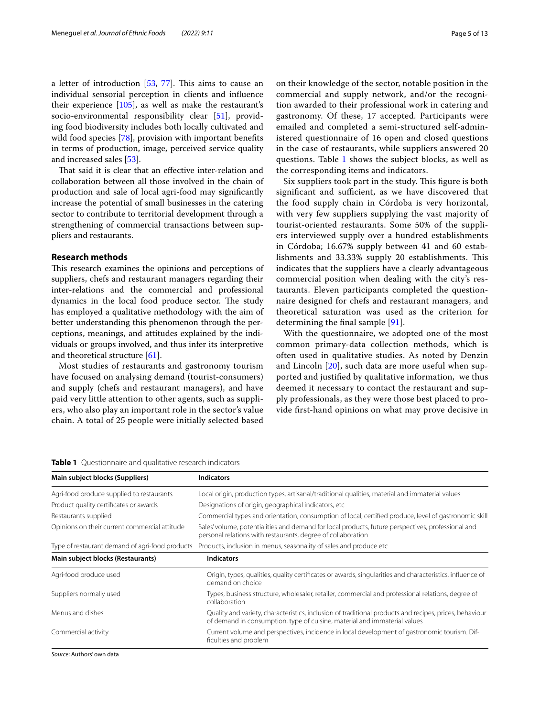a letter of introduction  $[53, 77]$  $[53, 77]$  $[53, 77]$  $[53, 77]$ . This aims to cause an individual sensorial perception in clients and infuence their experience [\[105](#page-12-25)], as well as make the restaurant's socio-environmental responsibility clear [[51](#page-11-35)], providing food biodiversity includes both locally cultivated and wild food species [[78](#page-12-26)], provision with important benefits in terms of production, image, perceived service quality and increased sales [\[53](#page-11-43)].

That said it is clear that an effective inter-relation and collaboration between all those involved in the chain of production and sale of local agri-food may signifcantly increase the potential of small businesses in the catering sector to contribute to territorial development through a strengthening of commercial transactions between suppliers and restaurants.

# **Research methods**

This research examines the opinions and perceptions of suppliers, chefs and restaurant managers regarding their inter-relations and the commercial and professional dynamics in the local food produce sector. The study has employed a qualitative methodology with the aim of better understanding this phenomenon through the perceptions, meanings, and attitudes explained by the individuals or groups involved, and thus infer its interpretive and theoretical structure [\[61](#page-11-45)].

Most studies of restaurants and gastronomy tourism have focused on analysing demand (tourist-consumers) and supply (chefs and restaurant managers), and have paid very little attention to other agents, such as suppliers, who also play an important role in the sector's value chain. A total of 25 people were initially selected based on their knowledge of the sector, notable position in the commercial and supply network, and/or the recognition awarded to their professional work in catering and gastronomy. Of these, 17 accepted. Participants were emailed and completed a semi-structured self-administered questionnaire of 16 open and closed questions in the case of restaurants, while suppliers answered 20 questions. Table [1](#page-4-0) shows the subject blocks, as well as the corresponding items and indicators.

Six suppliers took part in the study. This figure is both significant and sufficient, as we have discovered that the food supply chain in Córdoba is very horizontal, with very few suppliers supplying the vast majority of tourist-oriented restaurants. Some 50% of the suppliers interviewed supply over a hundred establishments in Córdoba; 16.67% supply between 41 and 60 establishments and 33.33% supply 20 establishments. This indicates that the suppliers have a clearly advantageous commercial position when dealing with the city's restaurants. Eleven participants completed the questionnaire designed for chefs and restaurant managers, and theoretical saturation was used as the criterion for determining the fnal sample [[91](#page-12-27)].

With the questionnaire, we adopted one of the most common primary-data collection methods, which is often used in qualitative studies. As noted by Denzin and Lincoln [[20](#page-10-25)], such data are more useful when supported and justifed by qualitative information, we thus deemed it necessary to contact the restaurant and supply professionals, as they were those best placed to provide frst-hand opinions on what may prove decisive in

| Main subject blocks (Suppliers)                 | <b>Indicators</b>                                                                                                                                                                   |
|-------------------------------------------------|-------------------------------------------------------------------------------------------------------------------------------------------------------------------------------------|
| Agri-food produce supplied to restaurants       | Local origin, production types, artisanal/traditional qualities, material and immaterial values                                                                                     |
| Product quality certificates or awards          | Designations of origin, geographical indicators, etc.                                                                                                                               |
| Restaurants supplied                            | Commercial types and orientation, consumption of local, certified produce, level of gastronomic skill                                                                               |
| Opinions on their current commercial attitude   | Sales' volume, potentialities and demand for local products, future perspectives, professional and<br>personal relations with restaurants, degree of collaboration                  |
| Type of restaurant demand of agri-food products | Products, inclusion in menus, seasonality of sales and produce etc.                                                                                                                 |
| Main subject blocks (Restaurants)               | <b>Indicators</b>                                                                                                                                                                   |
| Agri-food produce used                          | Origin, types, qualities, quality certificates or awards, singularities and characteristics, influence of<br>demand on choice                                                       |
| Suppliers normally used                         | Types, business structure, wholesaler, retailer, commercial and professional relations, degree of<br>collaboration                                                                  |
| Menus and dishes                                | Quality and variety, characteristics, inclusion of traditional products and recipes, prices, behaviour<br>of demand in consumption, type of cuisine, material and immaterial values |
| Commercial activity                             | Current volume and perspectives, incidence in local development of gastronomic tourism. Dif-<br>ficulties and problem                                                               |

<span id="page-4-0"></span>**Table 1** Questionnaire and qualitative research indicators

*Source*: Authors' own data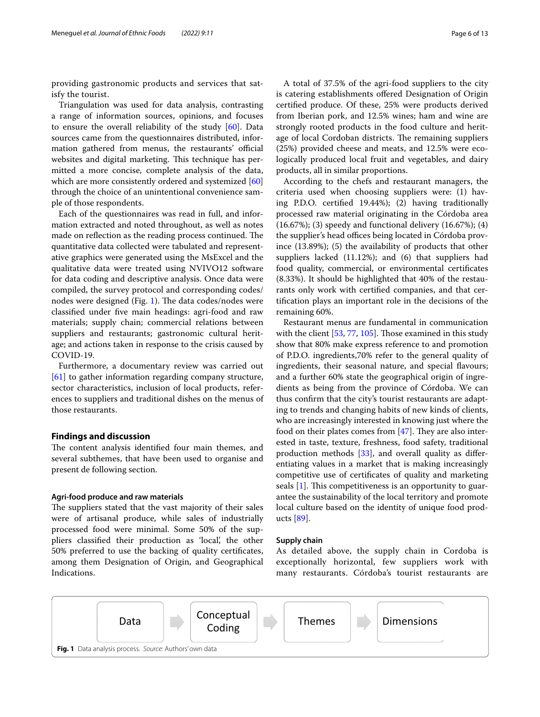providing gastronomic products and services that satisfy the tourist.

Triangulation was used for data analysis, contrasting a range of information sources, opinions, and focuses to ensure the overall reliability of the study [[60](#page-11-46)]. Data sources came from the questionnaires distributed, information gathered from menus, the restaurants' official websites and digital marketing. This technique has permitted a more concise, complete analysis of the data, which are more consistently ordered and systemized [[60](#page-11-46)] through the choice of an unintentional convenience sample of those respondents.

Each of the questionnaires was read in full, and information extracted and noted throughout, as well as notes made on reflection as the reading process continued. The quantitative data collected were tabulated and representative graphics were generated using the MsExcel and the qualitative data were treated using NVIVO12 software for data coding and descriptive analysis. Once data were compiled, the survey protocol and corresponding codes/ nodes were designed (Fig. [1\)](#page-5-0). The data codes/nodes were classifed under fve main headings: agri-food and raw materials; supply chain; commercial relations between suppliers and restaurants; gastronomic cultural heritage; and actions taken in response to the crisis caused by COVID-19.

Furthermore, a documentary review was carried out [[61\]](#page-11-45) to gather information regarding company structure, sector characteristics, inclusion of local products, references to suppliers and traditional dishes on the menus of those restaurants.

## **Findings and discussion**

The content analysis identified four main themes, and several subthemes, that have been used to organise and present de following section.

## **Agri‑food produce and raw materials**

The suppliers stated that the vast majority of their sales were of artisanal produce, while sales of industrially processed food were minimal. Some 50% of the suppliers classifed their production as 'local', the other 50% preferred to use the backing of quality certifcates, among them Designation of Origin, and Geographical Indications.

A total of 37.5% of the agri-food suppliers to the city is catering establishments offered Designation of Origin certifed produce. Of these, 25% were products derived from Iberian pork, and 12.5% wines; ham and wine are strongly rooted products in the food culture and heritage of local Cordoban districts. The remaining suppliers (25%) provided cheese and meats, and 12.5% were ecologically produced local fruit and vegetables, and dairy products, all in similar proportions.

According to the chefs and restaurant managers, the criteria used when choosing suppliers were: (1) having P.D.O. certifed 19.44%); (2) having traditionally processed raw material originating in the Córdoba area (16.67%); (3) speedy and functional delivery (16.67%); (4) the supplier's head offices being located in Córdoba province (13.89%); (5) the availability of products that other suppliers lacked (11.12%); and (6) that suppliers had food quality, commercial, or environmental certifcates (8.33%). It should be highlighted that 40% of the restaurants only work with certifed companies, and that certifcation plays an important role in the decisions of the remaining 60%.

Restaurant menus are fundamental in communication with the client [[53,](#page-11-43) [77,](#page-11-44) [105](#page-12-25)]. Those examined in this study show that 80% make express reference to and promotion of P.D.O. ingredients,70% refer to the general quality of ingredients, their seasonal nature, and special flavours; and a further 60% state the geographical origin of ingredients as being from the province of Córdoba. We can thus confrm that the city's tourist restaurants are adapting to trends and changing habits of new kinds of clients, who are increasingly interested in knowing just where the food on their plates comes from  $[47]$  $[47]$ . They are also interested in taste, texture, freshness, food safety, traditional production methods [[33\]](#page-11-34), and overall quality as diferentiating values in a market that is making increasingly competitive use of certifcates of quality and marketing seals  $[1]$  $[1]$ . This competitiveness is an opportunity to guarantee the sustainability of the local territory and promote local culture based on the identity of unique food products [\[89](#page-12-2)].

## **Supply chain**

As detailed above, the supply chain in Cordoba is exceptionally horizontal, few suppliers work with many restaurants. Córdoba's tourist restaurants are

<span id="page-5-0"></span>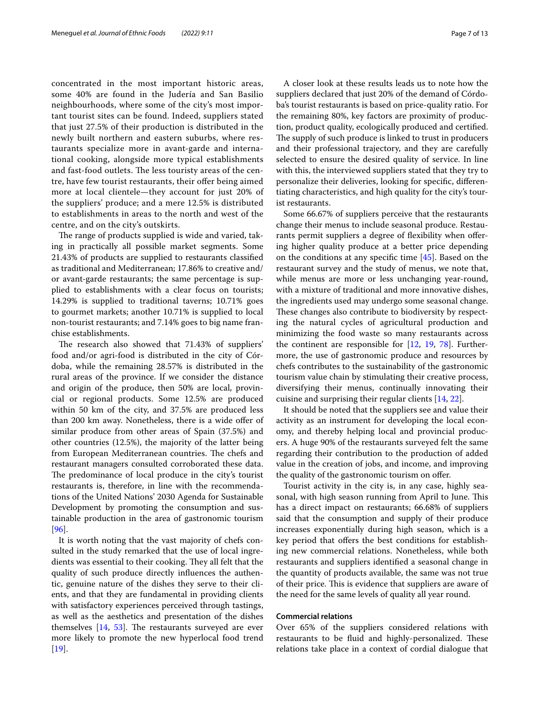concentrated in the most important historic areas, some 40% are found in the Judería and San Basilio neighbourhoods, where some of the city's most important tourist sites can be found. Indeed, suppliers stated that just 27.5% of their production is distributed in the newly built northern and eastern suburbs, where restaurants specialize more in avant-garde and international cooking, alongside more typical establishments and fast-food outlets. The less touristy areas of the centre, have few tourist restaurants, their offer being aimed more at local clientele—they account for just 20% of the suppliers' produce; and a mere 12.5% is distributed to establishments in areas to the north and west of the centre, and on the city's outskirts.

The range of products supplied is wide and varied, taking in practically all possible market segments. Some 21.43% of products are supplied to restaurants classifed as traditional and Mediterranean; 17.86% to creative and/ or avant-garde restaurants; the same percentage is supplied to establishments with a clear focus on tourists; 14.29% is supplied to traditional taverns; 10.71% goes to gourmet markets; another 10.71% is supplied to local non-tourist restaurants; and 7.14% goes to big name franchise establishments.

The research also showed that 71.43% of suppliers' food and/or agri-food is distributed in the city of Córdoba, while the remaining 28.57% is distributed in the rural areas of the province. If we consider the distance and origin of the produce, then 50% are local, provincial or regional products. Some 12.5% are produced within 50 km of the city, and 37.5% are produced less than 200 km away. Nonetheless, there is a wide offer of similar produce from other areas of Spain (37.5%) and other countries (12.5%), the majority of the latter being from European Mediterranean countries. The chefs and restaurant managers consulted corroborated these data. The predominance of local produce in the city's tourist restaurants is, therefore, in line with the recommendations of the United Nations' 2030 Agenda for Sustainable Development by promoting the consumption and sustainable production in the area of gastronomic tourism [[96\]](#page-12-28).

It is worth noting that the vast majority of chefs consulted in the study remarked that the use of local ingredients was essential to their cooking. They all felt that the quality of such produce directly infuences the authentic, genuine nature of the dishes they serve to their clients, and that they are fundamental in providing clients with satisfactory experiences perceived through tastings, as well as the aesthetics and presentation of the dishes themselves  $[14, 53]$  $[14, 53]$  $[14, 53]$  $[14, 53]$ . The restaurants surveyed are ever more likely to promote the new hyperlocal food trend [[19\]](#page-10-27).

A closer look at these results leads us to note how the suppliers declared that just 20% of the demand of Córdoba's tourist restaurants is based on price-quality ratio. For the remaining 80%, key factors are proximity of production, product quality, ecologically produced and certifed. The supply of such produce is linked to trust in producers and their professional trajectory, and they are carefully selected to ensure the desired quality of service. In line with this, the interviewed suppliers stated that they try to personalize their deliveries, looking for specifc, diferentiating characteristics, and high quality for the city's tourist restaurants.

Some 66.67% of suppliers perceive that the restaurants change their menus to include seasonal produce. Restaurants permit suppliers a degree of flexibility when offering higher quality produce at a better price depending on the conditions at any specifc time [[45](#page-11-37)]. Based on the restaurant survey and the study of menus, we note that, while menus are more or less unchanging year-round, with a mixture of traditional and more innovative dishes, the ingredients used may undergo some seasonal change. These changes also contribute to biodiversity by respecting the natural cycles of agricultural production and minimizing the food waste so many restaurants across the continent are responsible for [\[12](#page-10-28), [19](#page-10-27), [78\]](#page-12-26). Furthermore, the use of gastronomic produce and resources by chefs contributes to the sustainability of the gastronomic tourism value chain by stimulating their creative process, diversifying their menus, continually innovating their cuisine and surprising their regular clients [\[14](#page-10-26), [22\]](#page-10-4).

It should be noted that the suppliers see and value their activity as an instrument for developing the local economy, and thereby helping local and provincial producers. A huge 90% of the restaurants surveyed felt the same regarding their contribution to the production of added value in the creation of jobs, and income, and improving the quality of the gastronomic tourism on ofer.

Tourist activity in the city is, in any case, highly seasonal, with high season running from April to June. This has a direct impact on restaurants; 66.68% of suppliers said that the consumption and supply of their produce increases exponentially during high season, which is a key period that offers the best conditions for establishing new commercial relations. Nonetheless, while both restaurants and suppliers identifed a seasonal change in the quantity of products available, the same was not true of their price. This is evidence that suppliers are aware of the need for the same levels of quality all year round.

## **Commercial relations**

Over 65% of the suppliers considered relations with restaurants to be fluid and highly-personalized. These relations take place in a context of cordial dialogue that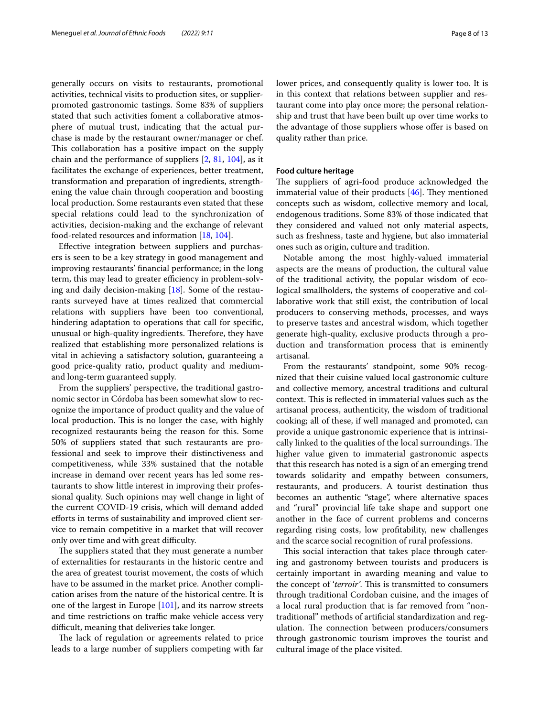generally occurs on visits to restaurants, promotional activities, technical visits to production sites, or supplierpromoted gastronomic tastings. Some 83% of suppliers stated that such activities foment a collaborative atmosphere of mutual trust, indicating that the actual purchase is made by the restaurant owner/manager or chef. This collaboration has a positive impact on the supply chain and the performance of suppliers [\[2](#page-10-19), [81](#page-12-22), [104](#page-12-21)], as it facilitates the exchange of experiences, better treatment, transformation and preparation of ingredients, strengthening the value chain through cooperation and boosting local production. Some restaurants even stated that these special relations could lead to the synchronization of activities, decision-making and the exchange of relevant food-related resources and information [[18,](#page-10-20) [104\]](#page-12-21).

Efective integration between suppliers and purchasers is seen to be a key strategy in good management and improving restaurants' fnancial performance; in the long term, this may lead to greater efficiency in problem-solving and daily decision-making [\[18\]](#page-10-20). Some of the restaurants surveyed have at times realized that commercial relations with suppliers have been too conventional, hindering adaptation to operations that call for specifc, unusual or high-quality ingredients. Therefore, they have realized that establishing more personalized relations is vital in achieving a satisfactory solution, guaranteeing a good price-quality ratio, product quality and mediumand long-term guaranteed supply.

From the suppliers' perspective, the traditional gastronomic sector in Córdoba has been somewhat slow to recognize the importance of product quality and the value of local production. This is no longer the case, with highly recognized restaurants being the reason for this. Some 50% of suppliers stated that such restaurants are professional and seek to improve their distinctiveness and competitiveness, while 33% sustained that the notable increase in demand over recent years has led some restaurants to show little interest in improving their professional quality. Such opinions may well change in light of the current COVID-19 crisis, which will demand added efforts in terms of sustainability and improved client service to remain competitive in a market that will recover only over time and with great difficulty.

The suppliers stated that they must generate a number of externalities for restaurants in the historic centre and the area of greatest tourist movement, the costs of which have to be assumed in the market price. Another complication arises from the nature of the historical centre. It is one of the largest in Europe [[101](#page-12-10)], and its narrow streets and time restrictions on traffic make vehicle access very difficult, meaning that deliveries take longer.

The lack of regulation or agreements related to price leads to a large number of suppliers competing with far lower prices, and consequently quality is lower too. It is in this context that relations between supplier and restaurant come into play once more; the personal relationship and trust that have been built up over time works to the advantage of those suppliers whose offer is based on quality rather than price.

## **Food culture heritage**

The suppliers of agri-food produce acknowledged the immaterial value of their products  $[46]$  $[46]$ . They mentioned concepts such as wisdom, collective memory and local, endogenous traditions. Some 83% of those indicated that they considered and valued not only material aspects, such as freshness, taste and hygiene, but also immaterial ones such as origin, culture and tradition.

Notable among the most highly-valued immaterial aspects are the means of production, the cultural value of the traditional activity, the popular wisdom of ecological smallholders, the systems of cooperative and collaborative work that still exist, the contribution of local producers to conserving methods, processes, and ways to preserve tastes and ancestral wisdom, which together generate high-quality, exclusive products through a production and transformation process that is eminently artisanal.

From the restaurants' standpoint, some 90% recognized that their cuisine valued local gastronomic culture and collective memory, ancestral traditions and cultural context. This is reflected in immaterial values such as the artisanal process, authenticity, the wisdom of traditional cooking; all of these, if well managed and promoted, can provide a unique gastronomic experience that is intrinsically linked to the qualities of the local surroundings. The higher value given to immaterial gastronomic aspects that this research has noted is a sign of an emerging trend towards solidarity and empathy between consumers, restaurants, and producers. A tourist destination thus becomes an authentic "stage", where alternative spaces and "rural" provincial life take shape and support one another in the face of current problems and concerns regarding rising costs, low proftability, new challenges and the scarce social recognition of rural professions.

This social interaction that takes place through catering and gastronomy between tourists and producers is certainly important in awarding meaning and value to the concept of *'terroir'*. This is transmitted to consumers through traditional Cordoban cuisine, and the images of a local rural production that is far removed from "nontraditional" methods of artifcial standardization and regulation. The connection between producers/consumers through gastronomic tourism improves the tourist and cultural image of the place visited.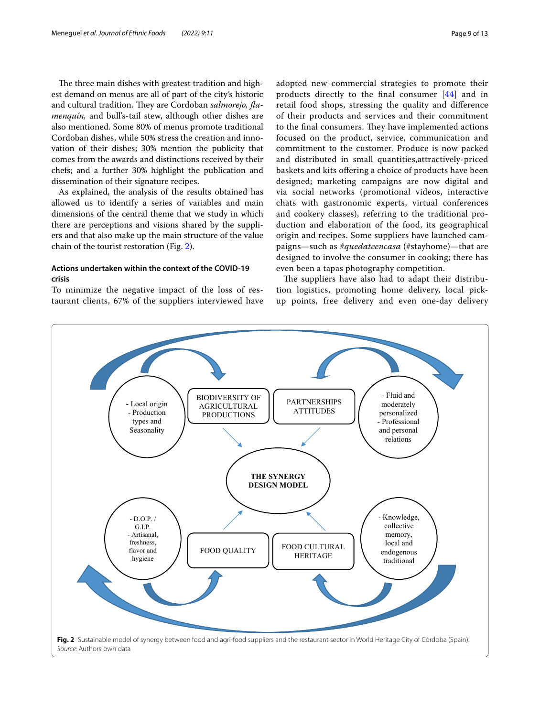The three main dishes with greatest tradition and highest demand on menus are all of part of the city's historic and cultural tradition. They are Cordoban *salmorejo*, *flamenquín,* and bull's-tail stew, although other dishes are also mentioned. Some 80% of menus promote traditional Cordoban dishes, while 50% stress the creation and innovation of their dishes; 30% mention the publicity that comes from the awards and distinctions received by their chefs; and a further 30% highlight the publication and dissemination of their signature recipes.

As explained, the analysis of the results obtained has allowed us to identify a series of variables and main dimensions of the central theme that we study in which there are perceptions and visions shared by the suppliers and that also make up the main structure of the value chain of the tourist restoration (Fig. [2](#page-8-0)).

# **Actions undertaken within the context of the COVID‑19 crisis**

To minimize the negative impact of the loss of restaurant clients, 67% of the suppliers interviewed have

adopted new commercial strategies to promote their products directly to the fnal consumer [[44](#page-11-47)] and in retail food shops, stressing the quality and diference of their products and services and their commitment to the final consumers. They have implemented actions focused on the product, service, communication and commitment to the customer. Produce is now packed and distributed in small quantities,attractively-priced baskets and kits ofering a choice of products have been designed; marketing campaigns are now digital and via social networks (promotional videos, interactive chats with gastronomic experts, virtual conferences and cookery classes), referring to the traditional production and elaboration of the food, its geographical origin and recipes. Some suppliers have launched campaigns—such as *#quedateencasa* (#stayhome)—that are designed to involve the consumer in cooking; there has even been a tapas photography competition.

The suppliers have also had to adapt their distribution logistics, promoting home delivery, local pickup points, free delivery and even one-day delivery

<span id="page-8-0"></span>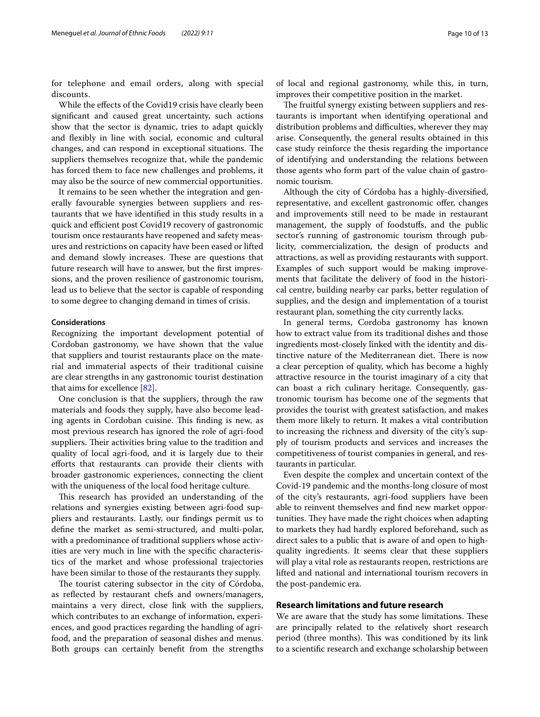for telephone and email orders, along with special discounts.

While the efects of the Covid19 crisis have clearly been signifcant and caused great uncertainty, such actions show that the sector is dynamic, tries to adapt quickly and fexibly in line with social, economic and cultural changes, and can respond in exceptional situations. The suppliers themselves recognize that, while the pandemic has forced them to face new challenges and problems, it may also be the source of new commercial opportunities.

It remains to be seen whether the integration and generally favourable synergies between suppliers and restaurants that we have identifed in this study results in a quick and efficient post Covid19 recovery of gastronomic tourism once restaurants have reopened and safety measures and restrictions on capacity have been eased or lifted and demand slowly increases. These are questions that future research will have to answer, but the frst impressions, and the proven resilience of gastronomic tourism, lead us to believe that the sector is capable of responding to some degree to changing demand in times of crisis.

# **Considerations**

Recognizing the important development potential of Cordoban gastronomy, we have shown that the value that suppliers and tourist restaurants place on the material and immaterial aspects of their traditional cuisine are clear strengths in any gastronomic tourist destination that aims for excellence [[82\]](#page-12-0).

One conclusion is that the suppliers, through the raw materials and foods they supply, have also become leading agents in Cordoban cuisine. This finding is new, as most previous research has ignored the role of agri-food suppliers. Their activities bring value to the tradition and quality of local agri-food, and it is largely due to their efforts that restaurants can provide their clients with broader gastronomic experiences, connecting the client with the uniqueness of the local food heritage culture.

This research has provided an understanding of the relations and synergies existing between agri-food suppliers and restaurants. Lastly, our fndings permit us to defne the market as semi-structured, and multi-polar, with a predominance of traditional suppliers whose activities are very much in line with the specifc characteristics of the market and whose professional trajectories have been similar to those of the restaurants they supply.

The tourist catering subsector in the city of Córdoba, as refected by restaurant chefs and owners/managers, maintains a very direct, close link with the suppliers, which contributes to an exchange of information, experiences, and good practices regarding the handling of agrifood, and the preparation of seasonal dishes and menus. Both groups can certainly beneft from the strengths

of local and regional gastronomy, while this, in turn, improves their competitive position in the market.

The fruitful synergy existing between suppliers and restaurants is important when identifying operational and distribution problems and difficulties, wherever they may arise. Consequently, the general results obtained in this case study reinforce the thesis regarding the importance of identifying and understanding the relations between those agents who form part of the value chain of gastronomic tourism.

Although the city of Córdoba has a highly-diversifed, representative, and excellent gastronomic offer, changes and improvements still need to be made in restaurant management, the supply of foodstufs, and the public sector's running of gastronomic tourism through publicity, commercialization, the design of products and attractions, as well as providing restaurants with support. Examples of such support would be making improvements that facilitate the delivery of food in the historical centre, building nearby car parks, better regulation of supplies, and the design and implementation of a tourist restaurant plan, something the city currently lacks.

In general terms, Cordoba gastronomy has known how to extract value from its traditional dishes and those ingredients most-closely linked with the identity and distinctive nature of the Mediterranean diet. There is now a clear perception of quality, which has become a highly attractive resource in the tourist imaginary of a city that can boast a rich culinary heritage. Consequently, gastronomic tourism has become one of the segments that provides the tourist with greatest satisfaction, and makes them more likely to return. It makes a vital contribution to increasing the richness and diversity of the city's supply of tourism products and services and increases the competitiveness of tourist companies in general, and restaurants in particular.

Even despite the complex and uncertain context of the Covid-19 pandemic and the months-long closure of most of the city's restaurants, agri-food suppliers have been able to reinvent themselves and fnd new market opportunities. They have made the right choices when adapting to markets they had hardly explored beforehand, such as direct sales to a public that is aware of and open to highquality ingredients. It seems clear that these suppliers will play a vital role as restaurants reopen, restrictions are lifted and national and international tourism recovers in the post-pandemic era.

# **Research limitations and future research**

We are aware that the study has some limitations. These are principally related to the relatively short research period (three months). This was conditioned by its link to a scientifc research and exchange scholarship between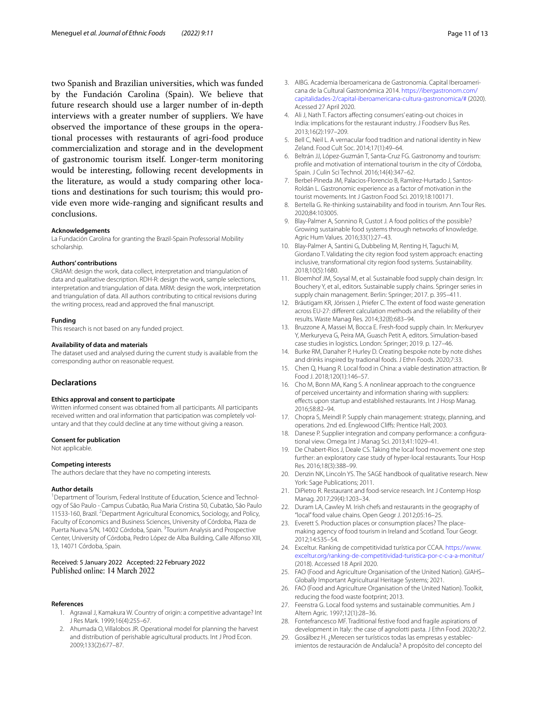two Spanish and Brazilian universities, which was funded by the Fundación Carolina (Spain). We believe that future research should use a larger number of in-depth interviews with a greater number of suppliers. We have observed the importance of these groups in the operational processes with restaurants of agri-food produce commercialization and storage and in the development of gastronomic tourism itself. Longer-term monitoring would be interesting, following recent developments in the literature, as would a study comparing other locations and destinations for such tourism; this would provide even more wide-ranging and signifcant results and conclusions.

#### **Acknowledgements**

La Fundación Carolina for granting the Brazil-Spain Professorial Mobility scholarship.

#### **Authors' contributions**

CRdAM: design the work, data collect, interpretation and triangulation of data and qualitative description. RDH-R: design the work, sample selections, interpretation and triangulation of data. MRM: design the work, interpretation and triangulation of data. All authors contributing to critical revisions during the writing process, read and approved the fnal manuscript.

### **Funding**

This research is not based on any funded project.

#### **Availability of data and materials**

The dataset used and analysed during the current study is available from the corresponding author on reasonable request.

# **Declarations**

## **Ethics approval and consent to participate**

Written informed consent was obtained from all participants. All participants received written and oral information that participation was completely voluntary and that they could decline at any time without giving a reason.

#### **Consent for publication**

Not applicable.

#### **Competing interests**

The authors declare that they have no competing interests.

#### **Author details**

<sup>1</sup> Department of Tourism, Federal Institute of Education, Science and Technology of São Paulo - Campus Cubatão, Rua Maria Cristina 50, Cubatão, São Paulo 11533-160, Brazil. <sup>2</sup> Department Agricultural Economics, Sociology, and Policy, Faculty of Economics and Business Sciences, University of Córdoba, Plaza de Puerta Nueva S/N, 14002 Córdoba, Spain. <sup>3</sup>Tourism Analysis and Prospective Center, University of Córdoba, Pedro López de Alba Building, Calle Alfonso XIII, 13, 14071 Córdoba, Spain.

## Received: 5 January 2022 Accepted: 22 February 2022 Published online: 14 March 2022

#### <span id="page-10-24"></span>**References**

- 1. Agrawal J, Kamakura W. Country of origin: a competitive advantage? Int J Res Mark. 1999;16(4):255–67.
- <span id="page-10-19"></span>2. Ahumada O, Villalobos JR. Operational model for planning the harvest and distribution of perishable agricultural products. Int J Prod Econ. 2009;133(2):677–87.
- <span id="page-10-14"></span>3. AIBG. Academia Iberoamericana de Gastronomia. Capital Iberoamericana de la Cultural Gastronómica 2014. [https://ibergastronom.com/](https://ibergastronom.com/capitalidades-2/capital-iberoamericana-cultura-gastronomica/#) [capitalidades-2/capital-iberoamericana-cultura-gastronomica/#](https://ibergastronom.com/capitalidades-2/capital-iberoamericana-cultura-gastronomica/#) (2020). Acessed 27 April 2020.
- <span id="page-10-6"></span>4. Ali J, Nath T. Factors afecting consumers' eating-out choices in India: implications for the restaurant industry. J Foodserv Bus Res. 2013;16(2):197–209.
- <span id="page-10-3"></span>5. Bell C, Neil L. A vernacular food tradition and national identity in New Zeland. Food Cult Soc. 2014;17(1):49–64.
- <span id="page-10-10"></span>6. Beltrán JJ, López-Guzmán T, Santa-Cruz FG. Gastronomy and tourism: profle and motivation of international tourism in the city of Córdoba, Spain. J Culin Sci Technol. 2016;14(4):347–62.
- <span id="page-10-1"></span>7. Berbel-Pineda JM, Palacios-Florencio B, Ramírez-Hurtado J, Santos-Roldán L. Gastronomic experience as a factor of motivation in the tourist movements. Int J Gastron Food Sci. 2019;18:100171.
- <span id="page-10-0"></span>8. Bertella G. Re-thinking sustainability and food in tourism. Ann Tour Res. 2020;84:103005.
- <span id="page-10-15"></span>9. Blay-Palmer A, Sonnino R, Custot J. A food politics of the possible? Growing sustainable food systems through networks of knowledge. Agric Hum Values. 2016;33(1):27–43.
- <span id="page-10-13"></span>10. Blay-Palmer A, Santini G, Dubbeling M, Renting H, Taguchi M, Giordano T. Validating the city region food system approach: enacting inclusive, transformational city region food systems. Sustainability. 2018;10(5):1680.
- <span id="page-10-16"></span>11. Bloemhof JM, Soysal M, et al. Sustainable food supply chain design. In: Bouchery Y, et al., editors. Sustainable supply chains. Springer series in supply chain management. Berlin: Springer; 2017. p. 395–411.
- <span id="page-10-28"></span>12. Bräutigam KR, Jörissen J, Priefer C. The extent of food waste generation across EU-27: diferent calculation methods and the reliability of their results. Waste Manag Res. 2014;32(8):683–94.
- <span id="page-10-23"></span>13. Bruzzone A, Massei M, Bocca E. Fresh-food supply chain. In: Merkuryev Y, Merkuryeva G, Peira MA, Guasch Petit A, editors. Simulation-based case studies in logistics. London: Springer; 2019. p. 127–46.
- <span id="page-10-26"></span>14. Burke RM, Danaher P, Hurley D. Creating bespoke note by note dishes and drinks inspired by tradional foods. J Ethn Foods. 2020;7:33.
- <span id="page-10-2"></span>15. Chen Q, Huang R. Local food in China: a viable destination attraction. Br Food J. 2018;120(1):146–57.
- <span id="page-10-21"></span>16. Cho M, Bonn MA, Kang S. A nonlinear approach to the congruence of perceived uncertainty and information sharing with suppliers: efects upon startup and established restaurants. Int J Hosp Manag. 2016;58:82–94.
- <span id="page-10-11"></span>17. Chopra S, Meindl P. Supply chain management: strategy, planning, and operations. 2nd ed. Englewood Clifs: Prentice Hall; 2003.
- <span id="page-10-20"></span>18. Danese P. Supplier integration and company performance: a configurational view. Omega Int J Manag Sci. 2013;41:1029–41.
- <span id="page-10-27"></span>19. De Chabert-Rios J, Deale CS. Taking the local food movement one step further: an exploratory case study of hyper-local restaurants. Tour Hosp Res. 2016;18(3):388–99.
- <span id="page-10-25"></span>20. Denzin NK, Lincoln YS. The SAGE handbook of qualitative research. New York: Sage Publications; 2011.
- <span id="page-10-8"></span>21. DiPietro R. Restaurant and food-service research. Int J Contemp Hosp Manag. 2017;29(4):1203–34.
- <span id="page-10-4"></span>22. Duram LA, Cawley M. Irish chefs and restaurants in the geography of "local" food value chains. Open Geogr J. 2012;05:16–25.
- <span id="page-10-5"></span>23. Everett S. Production places or consumption places? The placemaking agency of food tourism in Ireland and Scotland. Tour Geogr. 2012;14:535–54.
- <span id="page-10-12"></span>24. Exceltur. Ranking de competitividad turística por CCAA. [https://www.](https://www.exceltur.org/ranking-de-competitividad-turistica-por-c-c-a-a-monitur/) [exceltur.org/ranking-de-competitividad-turistica-por-c-c-a-a-monitur/](https://www.exceltur.org/ranking-de-competitividad-turistica-por-c-c-a-a-monitur/) (2018). Accessed 18 April 2020.
- <span id="page-10-18"></span>25. FAO (Food and Agriculture Organisation of the United Nation). GIAHS– Globally Important Agricultural Heritage Systems; 2021.
- <span id="page-10-22"></span>26. FAO (Food and Agriculture Organisation of the United Nation). Toolkit, reducing the food waste footprint; 2013.
- <span id="page-10-17"></span>27. Feenstra G. Local food systems and sustainable communities. Am J Altern Agric. 1997;12(1):28–36.
- <span id="page-10-7"></span>28. Fontefrancesco MF. Traditional festive food and fragile aspirations of development in Italy: the case of agnolotti pasta. J Ethn Food. 2020;7:2.
- <span id="page-10-9"></span>29. Gosálbez H. ¿Merecen ser turísticos todas las empresas y establecimientos de restauración de Andalucía? A propósito del concepto del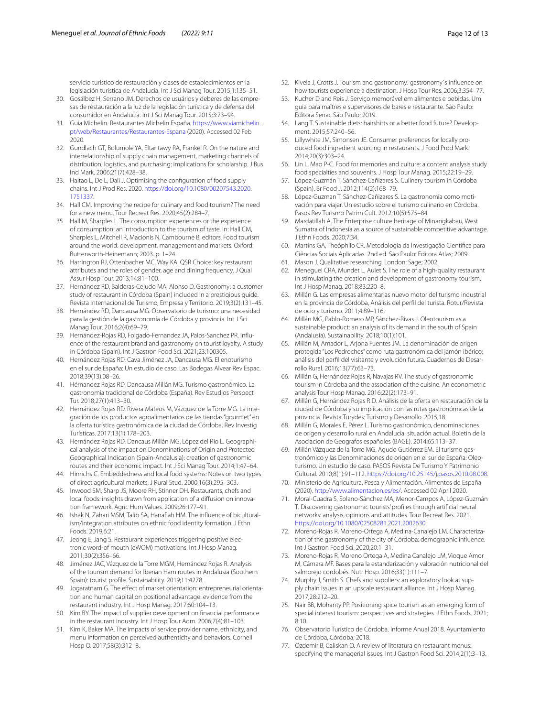servicio turístico de restauración y clases de establecimientos en la legislación turística de Andalucía. Int J Sci Manag Tour. 2015;1:135–51.

- <span id="page-11-12"></span>30. Gosálbez H, Serrano JM. Derechos de usuários y deberes de las empresas de restauración a la luz de la legislación turística y de defensa del consumidor en Andalucía. Int J Sci Manag Tour. 2015;3:73–94.
- <span id="page-11-31"></span>31. Guia Michelin. Restaurantes Michelin España. [https://www.viamichelin.](https://www.viamichelin.pt/web/Restaurantes/Restaurantes-Espana) [pt/web/Restaurantes/Restaurantes-Espana](https://www.viamichelin.pt/web/Restaurantes/Restaurantes-Espana) (2020). Accessed 02 Feb 2020.
- <span id="page-11-33"></span>32. Gundlach GT, Bolumole YA, Eltantawy RA, Frankel R. On the nature and interrelationship of supply chain management, marketing channels of distribution, logistics, and purchasing: implications for scholarship. J Bus Ind Mark. 2006;21(7):428–38.
- <span id="page-11-34"></span>33. Haitao L, De L, Dali J. Optimising the confguration of food supply chains. Int J Prod Res. 2020. [https://doi.org/10.1080/00207543.2020.](https://doi.org/10.1080/00207543.2020.1751337) [1751337.](https://doi.org/10.1080/00207543.2020.1751337)
- <span id="page-11-2"></span>34. Hall CM. Improving the recipe for culinary and food tourism? The need for a new menu. Tour Recreat Res. 2020;45(2):284–7.
- <span id="page-11-0"></span>35. Hall M, Sharples L. The consumption experiences or the experience of consumption: an introduction to the tourism of taste. In: Hall CM, Sharples L, Mitchell R, Macionis N, Cambourne B, editors. Food tourism around the world: development, management and markets. Oxford: Butterworth-Heinemann; 2003. p. 1–24.
- <span id="page-11-41"></span>36. Harrington RJ, Ottenbacher MC, Way KA. QSR Choice: key restaurant attributes and the roles of gender, age and dining frequency. J Qual Assur Hosp Tour. 2013;14:81–100.
- <span id="page-11-18"></span>37. Hernández RD, Balderas-Cejudo MA, Alonso D. Gastronomy: a customer study of restaurant in Córdoba (Spain) included in a prestigious guide. Revista Internacional de Turismo, Empresa y Territorio. 2019;3(2):131–45.
- <span id="page-11-16"></span>38. Hernández RD, Dancausa MG. Observatorio de turismo: una necesidad para la gestión de la gastronomía de Córdoba y provincia. Int J Sci Manag Tour. 2016;2(4):69–79.
- <span id="page-11-19"></span>39. Hernández-Rojas RD, Folgado-Fernandez JA, Palos-Sanchez PR. Influence of the restaurant brand and gastronomy on tourist loyalty. A study in Córdoba (Spain). Int J Gastron Food Sci. 2021;23:100305.
- <span id="page-11-13"></span>40. Hernández Rojas RD, Cava Jiménez JA, Dancausa MG. El enoturismo en el sur de España: Un estudio de caso. Las Bodegas Alvear Rev Espac. 2018;39(13):08–26.
- <span id="page-11-14"></span>41. Hérnandez Rojas RD, Dancausa Millán MG. Turismo gastronómico. La gastronomía tradicional de Córdoba (España). Rev Estudios Perspect Tur. 2018;27(1):413–30.
- <span id="page-11-21"></span>42. Hernández Rojas RD, Rivera Mateos M, Vázquez de la Torre MG. La integración de los productos agroalimentarios de las tiendas "gourmet" en la oferta turística gastronómica de la ciudad de Córdoba. Rev Investig Turísticas. 2017;13(1):178–203.
- <span id="page-11-7"></span>43. Hernández Rojas RD, Dancaus Millán MG, López del Rio L. Geographical analysis of the impact on Denominations of Origin and Protected Geographical Indication (Spain-Andalusia): creation of gastronomic routes and their economic impact. Int J Sci Manag Tour. 2014;1:47–64.
- <span id="page-11-47"></span>44. Hinrichs C. Embeddedness and local food systems: Notes on two types of direct agricultural markets. J Rural Stud. 2000;16(3):295–303.
- <span id="page-11-37"></span>45. Inwood SM, Sharp JS, Moore RH, Stinner DH. Restaurants, chefs and local foods: insights drawn from application of a diffusion on innovation framework. Agric Hum Values. 2009;26:177–91.
- <span id="page-11-25"></span>46. Ishak N, Zahari MSM, Talib SA, Hanafiah HM. The influence of biculturalism/integration attributes on ethnic food identity formation. J Ethn Foods. 2019;6:21.
- <span id="page-11-42"></span>47. Jeong E, Jang S. Restaurant experiences triggering positive electronic word-of mouth (eWOM) motivations. Int J Hosp Manag. 2011;30(2):356–66.
- <span id="page-11-22"></span>Jiménez JAC, Vázquez de la Torre MGM, Hernández Rojas R. Analysis of the tourism demand for Iberian Ham routes in Andalusia (Southern Spain): tourist profle. Sustainability. 2019;11:4278.
- <span id="page-11-36"></span>49. Jogaratnam G. The effect of market orientation: entrepreneurial orientation and human capital on positional advantage: evidence from the restaurant industry. Int J Hosp Manag. 2017;60:104–13.
- <span id="page-11-26"></span>50. Kim BY. The impact of supplier development on fnancial performance in the restaurant industry. Int J Hosp Tour Adm. 2006;7(4):81–103.
- <span id="page-11-35"></span>51. Kim K, Baker MA. The impacts of service provider name, ethnicity, and menu information on perceived authenticity and behaviors. Cornell Hosp Q. 2017;58(3):312–8.
- <span id="page-11-1"></span>52. Kivela J, Crotts J. Tourism and gastronomy: gastronomy´s infuence on how tourists experience a destination. J Hosp Tour Res. 2006;3:354–77.
- <span id="page-11-43"></span>53. Kucher D and Reis J. Serviço memorável em alimentos e bebidas. Um guia para maîtres e supervisores de bares e restaurante. São Paulo: Editora Senac São Paulo; 2019.
- <span id="page-11-38"></span>54. Lang T. Sustainable diets: hairshirts or a better food future? Development. 2015;57:240–56.
- <span id="page-11-39"></span>55. Lillywhite JM, Simonsen JE. Consumer preferences for locally produced food ingredient sourcing in restaurants. J Food Prod Mark. 2014;20(3):303–24.
- <span id="page-11-40"></span>56. Lin L, Mao P-C. Food for memories and culture: a content analysis study food specialties and souvenirs. J Hosp Tour Manag. 2015;22:19–29.
- <span id="page-11-20"></span>57. López-Guzmán T, Sánchez-Cañizares S. Culinary tourism in Córdoba (Spain). Br Food J. 2012;114(2):168–79.
- <span id="page-11-30"></span>58. López-Guzman T, Sánchez-Cañizares S. La gastronomía como motivación para viajar. Un estudio sobre el turismo culinario en Córdoba. Pasos Rev Turismo Patrim Cult. 2012;10(5):575–84.
- <span id="page-11-5"></span>59. Mardatillah A. The Enterprise culture heritage of Minangkabau, West Sumatra of Indonesia as a source of sustainable competitive advantage. J Ethn Foods. 2020;7:34.
- <span id="page-11-46"></span>60. Martins GA, Theóphilo CR. Metodologia da Investigação Científca para Ciências Sociais Aplicadas. 2nd ed. São Paulo: Editora Atlas; 2009.
- <span id="page-11-45"></span>61. Mason J. Qualitative researching. London: Sage; 2002.
- <span id="page-11-29"></span>62. Meneguel CRA, Mundet L, Aulet S. The role of a high-quality restaurant in stimulating the creation and development of gastronomy tourism. Int J Hosp Manag. 2018;83:220–8.
- <span id="page-11-24"></span>63. Millán G. Las empresas alimentarias nuevo motor del turismo industrial en la provincia de Córdoba, Análisis del perfl del turista. Rotur/Revista de ocio y turismo. 2011;4:89–116.
- <span id="page-11-17"></span>64. Millán MG, Pablo-Romero MP, Sánchez-Rivas J. Oleotourism as a sustainable product: an analysis of its demand in the south of Spain (Andalusia). Sustainability. 2018;10(1):101.
- <span id="page-11-8"></span>65. Millán M, Amador L, Arjona Fuentes JM. La denominación de origen protegida "Los Pedroches" como ruta gastronómica del jamón ibérico: análisis del perfil del visitante y evolución futura. Cuadernos de Desarrollo Rural. 2016;13(77):63–73.
- <span id="page-11-9"></span>66. Millán G, Hernández Rojas R, Navajas RV. The study of gastronomic tourism in Córdoba and the association of the cuisine. An econometric analysis Tour Hosp Manag. 2016;22(2):173–91.
- <span id="page-11-23"></span>67. Millán G, Hernández Rojas R D. Análisis de la oferta en restauración de la ciudad de Córdoba y su implicación con las rutas gastronómicas de la provincia. Revista Turydes: Turismo y Desarrollo. 2015;18.
- <span id="page-11-10"></span>68. Millán G, Morales E, Pérez L. Turismo gastronómico, denominaciones de origen y desarrollo rural en Andalucía: situación actual. Boletin de la Asociacion de Geografos españoles (BAGE). 2014;65:113–37.
- <span id="page-11-11"></span>69. Millán Vázquez de la Torre MG, Agudo Gutiérrez EM. El turismo gastronómico y las Denominaciones de origen en el sur de España: Oleoturismo. Un estudio de caso. PASOS Revista De Turismo Y Patrimonio Cultural. 2010;8(1):91–112.<https://doi.org/10.25145/j.pasos.2010.08.008>.
- <span id="page-11-32"></span>70. Ministerio de Agricultura, Pesca y Alimentación. Alimentos de España (2020).<http://www.alimentacion.es/es/>. Accessed 02 April 2020.
- <span id="page-11-4"></span>71. Moral-Cuadra S, Solano-Sánchez MA, Menor-Campos A, López-Guzmán T. Discovering gastronomic tourists' profles through artifcial neural networks: analysis, opinions and attitudes. Tour Recreat Res. 2021. <https://doi.org/10.1080/02508281.2021.2002630>.
- <span id="page-11-6"></span>72. Moreno-Rojas R, Moreno-Ortega A, Medina-Canalejo LM. Characterization of the gastronomy of the city of Córdoba: demographic infuence. Int J Gastron Food Sci. 2020;20:1–31.
- <span id="page-11-15"></span>73. Moreno-Rojas R, Moreno Ortega A, Medina Canalejo LM, Vioque Amor M, Cámara MF. Bases para la estandarización y valoración nutricional del salmorejo cordobés. Nutr Hosp. 2016;33(1):111–7.
- <span id="page-11-27"></span>74. Murphy J, Smith S. Chefs and suppliers: an exploratory look at supply chain issues in an upscale restaurant alliance. Int J Hosp Manag. 2017;28:212–20.
- <span id="page-11-3"></span>75. Nair BB, Mohanty PP. Positioning spice tourism as an emerging form of special interest tourism: perspectives and strategies. J Ethn Foods. 2021; 8:10.
- <span id="page-11-28"></span>76. Observatorio Turístico de Córdoba. Informe Anual 2018. Ayuntamiento de Córdoba, Córdoba; 2018.
- <span id="page-11-44"></span>77. Ozdemir B, Caliskan O. A review of literatura on restaurant menus: specifying the managerial issues. Int J Gastron Food Sci. 2014;2(1):3–13.